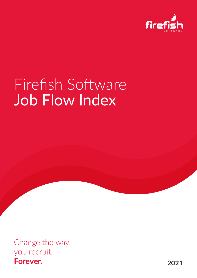

# Firefish Software Job Flow Index

Change the way you recruit. **Forever.**

2021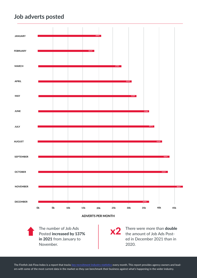## **Job adverts posted**



Posted increased by 137% in 2021 from January to November.

There were more than **double** the amount of Job Ads Posted in December 2021 than in 2020.

The Firefish Job Flow Index is a report that tracks [key recruitment industry statistics](https://www.firefishsoftware.com/resources/recruitment-stats) every month. This report provides agency owners and leaders with some of the most current data in the market so they can benchmark their business against what's happening in the wider industry.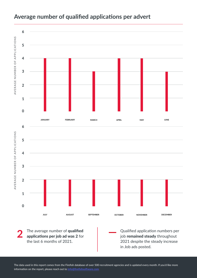

#### **Average number of qualified applications per advert**

The data used in this report comes from the Firefish database of over 500 recruitment agencies and is updated every month. If you'd like more information on the report, please reach out to [info@firefishsoftware.com](mailto:info@firefishsoftware.com)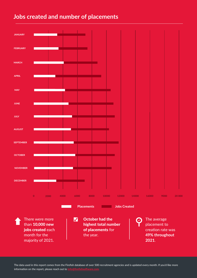### **Jobs created and number of placements**



The data used in this report comes from the Firefish database of over 500 recruitment agencies and is updated every month. If you'd like more information on the report, please reach out to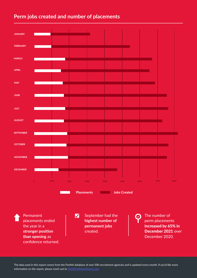

#### **Perm jobs created and number of placements**

The data used in this report comes from the Firefish database of over 500 recruitment agencies and is updated every month. If you'd like more information on the report, please reach out to [info@firefishsoftware.com](mailto:info@firefishsoftware.com).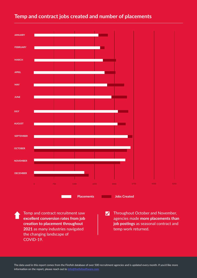#### **Temp and contract jobs created and number of placements**



Temp and contract recruitment saw **excellent conversion rates from job creation to placement throughout 2021** as many industries navigated the changing landscape of COVID-19.

M Throughout October and November, agencies made **more placements than job postings** as seasonal contract and temp work returned.

The data used in this report comes from the Firefish database of over 500 recruitment agencies and is updated every month. If you'd like more information on the report, please reach out to [info@firefishsoftware.com](mailto:info@firefishsoftware.com).